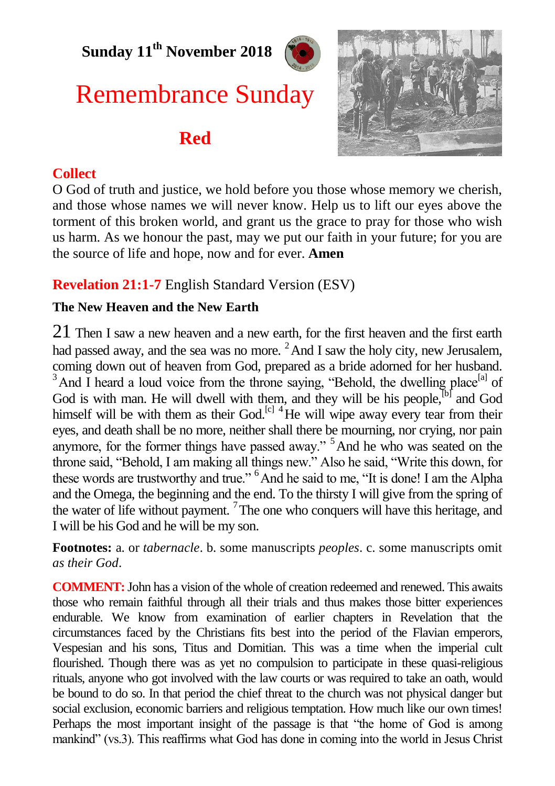**Sunday 11th November 2018**

# Remembrance Sunday

## **Red**



#### **Collect**

O God of truth and justice, we hold before you those whose memory we cherish, and those whose names we will never know. Help us to lift our eyes above the torment of this broken world, and grant us the grace to pray for those who wish us harm. As we honour the past, may we put our faith in your future; for you are the source of life and hope, now and for ever. **Amen**

### **Revelation 21:1-7** English Standard Version (ESV)

#### **The New Heaven and the New Earth**

21 Then I saw a new heaven and a new earth, for the first heaven and the first earth had passed away, and the sea was no more.  $^{2}$ And I saw the holy city, new Jerusalem, coming down out of heaven from God, prepared as a bride adorned for her husband.  $3$ And I heard a loud voice from the throne saying, "Behold, the dwelling place<sup>[a]</sup> of God is with man. He will dwell with them, and they will be his people, <sup>[b]</sup> and God himself will be with them as their God.<sup>[c] 4</sup>He will wipe away every tear from their eyes, and death shall be no more, neither shall there be mourning, nor crying, nor pain anymore, for the former things have passed away." <sup>5</sup>And he who was seated on the throne said, "Behold, I am making all things new." Also he said, "Write this down, for these words are trustworthy and true." <sup>6</sup>And he said to me, "It is done! I am the Alpha and the Omega, the beginning and the end. To the thirsty I will give from the spring of the water of life without payment.<sup>7</sup> The one who conquers will have this heritage, and I will be his God and he will be my son.

**Footnotes:** a. or *tabernacle*. b. some manuscripts *peoples*. c. some manuscripts omit *as their God*.

**COMMENT:** John has a vision of the whole of creation redeemed and renewed. This awaits those who remain faithful through all their trials and thus makes those bitter experiences endurable. We know from examination of earlier chapters in Revelation that the circumstances faced by the Christians fits best into the period of the Flavian emperors, Vespesian and his sons, Titus and Domitian. This was a time when the imperial cult flourished. Though there was as yet no compulsion to participate in these quasi-religious rituals, anyone who got involved with the law courts or was required to take an oath, would be bound to do so. In that period the chief threat to the church was not physical danger but social exclusion, economic barriers and religious temptation. How much like our own times! Perhaps the most important insight of the passage is that "the home of God is among mankind" (vs.3). This reaffirms what God has done in coming into the world in Jesus Christ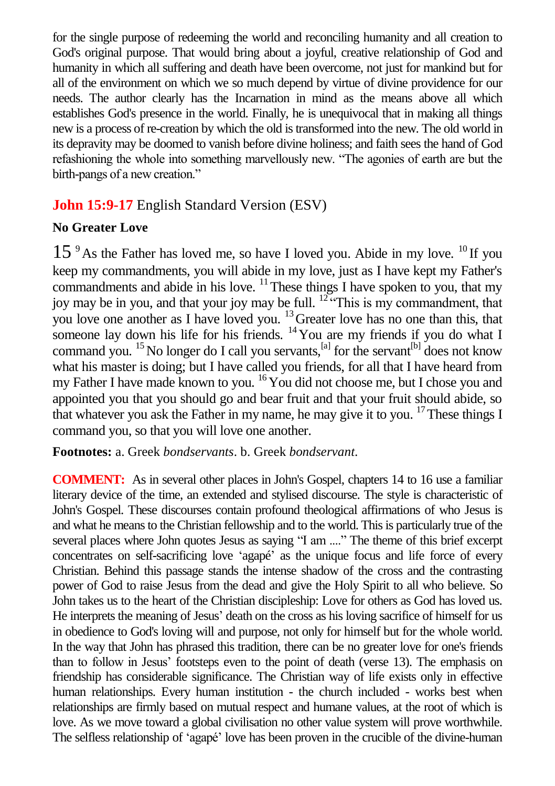for the single purpose of redeeming the world and reconciling humanity and all creation to God's original purpose. That would bring about a joyful, creative relationship of God and humanity in which all suffering and death have been overcome, not just for mankind but for all of the environment on which we so much depend by virtue of divine providence for our needs. The author clearly has the Incarnation in mind as the means above all which establishes God's presence in the world. Finally, he is unequivocal that in making all things new is a process of re-creation by which the old is transformed into the new. The old world in its depravity may be doomed to vanish before divine holiness; and faith sees the hand of God refashioning the whole into something marvellously new. "The agonies of earth are but the birth-pangs of a new creation."

#### **John 15:9-17** English Standard Version (ESV)

#### **No Greater Love**

 $15<sup>9</sup>$ As the Father has loved me, so have I loved you. Abide in my love. <sup>10</sup> If you keep my commandments, you will abide in my love, just as I have kept my Father's commandments and abide in his love.  $\frac{11}{1}$  These things I have spoken to you, that my joy may be in you, and that your joy may be full.  $12^{\circ}$  This is my commandment, that you love one another as I have loved you. <sup>13</sup> Greater love has no one than this, that someone lay down his life for his friends.  $14$  You are my friends if you do what I command you.  $^{15}$  No longer do I call you servants,  $^{[a]}$  for the servant  $^{[b]}$  does not know what his master is doing; but I have called you friends, for all that I have heard from my Father I have made known to you. <sup>16</sup> You did not choose me, but I chose you and appointed you that you should go and bear fruit and that your fruit should abide, so that whatever you ask the Father in my name, he may give it to you. <sup>17</sup> These things I command you, so that you will love one another.

**Footnotes:** a. Greek *bondservants*. b. Greek *bondservant*.

**COMMENT:** As in several other places in John's Gospel, chapters 14 to 16 use a familiar literary device of the time, an extended and stylised discourse. The style is characteristic of John's Gospel. These discourses contain profound theological affirmations of who Jesus is and what he means to the Christian fellowship and to the world. This is particularly true of the several places where John quotes Jesus as saying "I am ...." The theme of this brief excerpt concentrates on self-sacrificing love 'agapé' as the unique focus and life force of every Christian. Behind this passage stands the intense shadow of the cross and the contrasting power of God to raise Jesus from the dead and give the Holy Spirit to all who believe. So John takes us to the heart of the Christian discipleship: Love for others as God has loved us. He interprets the meaning of Jesus' death on the cross as his loving sacrifice of himself for us in obedience to God's loving will and purpose, not only for himself but for the whole world. In the way that John has phrased this tradition, there can be no greater love for one's friends than to follow in Jesus' footsteps even to the point of death (verse 13). The emphasis on friendship has considerable significance. The Christian way of life exists only in effective human relationships. Every human institution - the church included - works best when relationships are firmly based on mutual respect and humane values, at the root of which is love. As we move toward a global civilisation no other value system will prove worthwhile. The selfless relationship of 'agapé' love has been proven in the crucible of the divine-human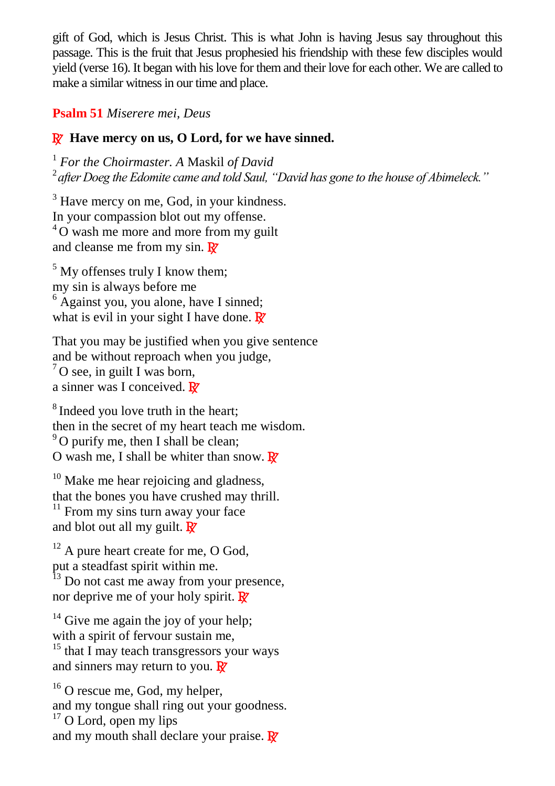gift of God, which is Jesus Christ. This is what John is having Jesus say throughout this passage. This is the fruit that Jesus prophesied his friendship with these few disciples would yield (verse 16). It began with his love for them and their love for each other. We are called to make a similar witness in our time and place.

**Psalm 51** *Miserere mei, Deus*

#### R **Have mercy on us, O Lord, for we have sinned.**

<sup>1</sup> *For the Choirmaster. A* Maskil *of David*  <sup>2</sup>*after Doeg the Edomite came and told Saul, "David has gone to the house of Abimeleck."*

<sup>3</sup> Have mercy on me, God, in your kindness. In your compassion blot out my offense.  $4^{\circ}$ O wash me more and more from my guilt and cleanse me from my sin.  $\mathbf{R}^{\prime}$ 

 $<sup>5</sup>$  My offenses truly I know them:</sup> my sin is always before me  $<sup>6</sup>$  Against you, you alone, have I sinned:</sup> what is evil in your sight I have done.  $\mathbb{R}^7$ 

That you may be justified when you give sentence and be without reproach when you judge,  $7^\circ$ O see, in guilt I was born, a sinner was I conceived.  $\mathbb{R}^7$ 

<sup>8</sup> Indeed you love truth in the heart: then in the secret of my heart teach me wisdom.  $9^9$ O purify me, then I shall be clean; O wash me, I shall be whiter than snow.  $\mathbb{R}^7$ 

 $10$  Make me hear rejoicing and gladness, that the bones you have crushed may thrill.  $11$  From my sins turn away your face and blot out all my guilt.  $\mathbb{R}$ 

 $12$  A pure heart create for me, O God, put a steadfast spirit within me.

<sup>13</sup> Do not cast me away from your presence, nor deprive me of your holy spirit.  $\mathbf{\mathbf{F}}$ 

 $14$  Give me again the joy of your help: with a spirit of fervour sustain me,  $15$  that I may teach transgressors your ways and sinners may return to you.  $\mathbb{R}^7$ 

<sup>16</sup> O rescue me, God, my helper, and my tongue shall ring out your goodness. <sup>17</sup> O Lord, open my lips and my mouth shall declare your praise.  $\mathbb{R}^7$